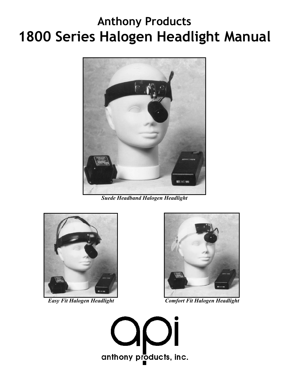# **Anthony Products 1800 Series Halogen Headlight Manual**



*Suede Headband Halogen Headlight*





*Easy Fit Halogen Headlight Comfort Fit Halogen Headlight*

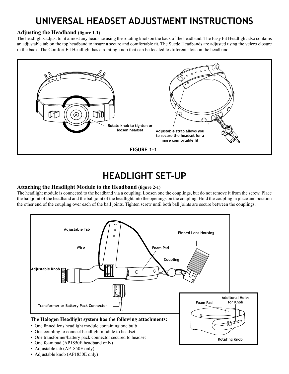## **UNIVERSAL HEADSET ADJUSTMENT INSTRUCTIONS**

#### **Adjusting the Headband (figure 1-1)**

The headlights adjust to fit almost any headsize using the rotating knob on the back of the headband. The Easy Fit Headlight also contains an adjustable tab on the top headband to insure a secure and comfortable fit. The Suede Headbands are adjusted using the velcro closure in the back. The Comfort Fit Headlight has a rotating knob that can be located to different slots on the headband.



## **HEADLIGHT SET-UP**

#### **Attaching the Headlight Module to the Headband (figure 2-1)**

The headlight module is connected to the headband via a coupling. Loosen one the couplings, but do not remove it from the screw. Place the ball joint of the headband and the ball joint of the headlight into the openings on the coupling. Hold the coupling in place and position the other end of the coupling over each of the ball joints. Tighten screw until both ball joints are secure between the couplings.



**Rotating Knob**

- One transformer/battery pack connector secured to headset
- One foam pad (AP1850E headband only)
- Adjustable tab (AP1850E only)
- Adjustable knob (AP1850E only)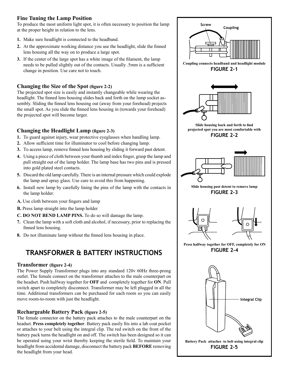#### **Fine Tuning the Lamp Position**

To produce the most uniform light spot, it is often necessary to position the lamp at the proper height in relation to the lens.

- **1.** Make sure headlight is connected to the headband.
- **2.** At the approximate working distance you use the headlight, slide the finned lens housing all the way on to produce a large spot.
- **3.** If the center of the large spot has a white image of the filament, the lamp needs to be pulled slightly out of the contacts. Usually .5mm is a sufficient change in position. Use care not to touch.

#### **Changing the Size of the Spot (figure 2-2)**

The projected spot size is easily and instantly changeable while wearing the headlight. The finned lens housing slides back and forth on the lamp socket assembly. Sliding the finned lens housing out (away from your forehead) projects the small spot. As you slide the finned lens housing in (towards your forehead) the projected spot will become larger.

#### **Changing the Headlight Lamp (figure 2-3)**

- **1.** To guard against injury, wear protective eyeglasses when handling lamp.
- **2.** Allow sufficient time for illuminator to cool before changing lamp.
- **3.** To access lamp, remove finned lens housing by sliding it forward past detent.
- **4.** Using a piece of cloth between your thumb and index finger, grasp the lamp and pull straight out of the lamp holder. The lamp base has two pins and is pressed into gold plated steel contacts.
- **5.** Discard the old lamp carefully. There is an internal pressure which could explode the lamp and spray glass. Use care to avoid this from happening.
- **6.** Install new lamp by carefully lining the pins of the lamp with the contacts in the lamp holder.
- **A.** Use cloth between your fingers and lamp
- **B.** Press lamp straight into the lamp holder
- **C. DO NOT BEND LAMP PINS.** To do so will damage the lamp.
- **7.** Clean the lamp with a soft cloth and alcohol, if necessary, prior to replacing the finned lens housing.
- **8.** Do not illuminate lamp without the finned lens housing in place.

### **TRANSFORMER & BATTERY INSTRUCTIONS**

#### **Transformer (figure 2-4)**

The Power Supply Transformer plugs into any standard 120v 60Hz three-prong outlet. The female connect on the transformer attaches to the male counterpart on the headset. Push halfway together for **OFF** and completely together for **ON**. Pull switch apart to completely disconnect. Transformer may be left plugged in all the time. Additional transformers can be purchased for each room so you can easily move room-to-room with just the headlight.

#### **Rechargeable Battery Pack (figure 2-5)**

The female connector on the battery pack attaches to the male counterpart on the headset. **Press completely together**. Battery pack easily fits into a lab coat pocket or attaches to your belt using the integral clip. The red switch on the front of the battery pack turns the headlight on and off. The switch has been designed so it can be operated using your wrist thereby keeping the sterile field. To maintain your headlight from accidental damage, disconnect the battery pack **BEFORE** removing the headlight from your head.